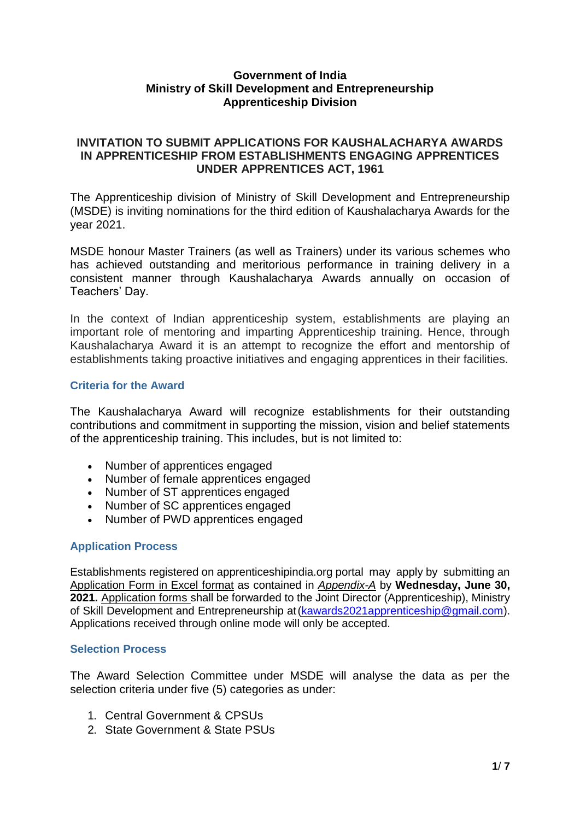### **Government of India Ministry of Skill Development and Entrepreneurship Apprenticeship Division**

### **INVITATION TO SUBMIT APPLICATIONS FOR KAUSHALACHARYA AWARDS IN APPRENTICESHIP FROM ESTABLISHMENTS ENGAGING APPRENTICES UNDER APPRENTICES ACT, 1961**

The Apprenticeship division of Ministry of Skill Development and Entrepreneurship (MSDE) is inviting nominations for the third edition of Kaushalacharya Awards for the year 2021.

MSDE honour Master Trainers (as well as Trainers) under its various schemes who has achieved outstanding and meritorious performance in training delivery in a consistent manner through Kaushalacharya Awards annually on occasion of Teachers' Day.

In the context of Indian apprenticeship system, establishments are playing an important role of mentoring and imparting Apprenticeship training. Hence, through Kaushalacharya Award it is an attempt to recognize the effort and mentorship of establishments taking proactive initiatives and engaging apprentices in their facilities.

### **Criteria for the Award**

The Kaushalacharya Award will recognize establishments for their outstanding contributions and commitment in supporting the mission, vision and belief statements of the apprenticeship training. This includes, but is not limited to:

- Number of apprentices engaged
- Number of female apprentices engaged
- Number of ST apprentices engaged
- Number of SC apprentices engaged
- Number of PWD apprentices engaged

#### **Application Process**

Establishments registered on apprenticeshipindia.org portal may apply by submitting an Application Form in Excel format as contained in *Appendix-A* by **Wednesday, June 30, 2021.** Application forms shall be forwarded to the Joint Director (Apprenticeship), Ministry of Skill Development and Entrepreneurship at(kawards2021apprenticeship@gmail.com). Applications received through online mode will only be accepted.

#### **Selection Process**

The Award Selection Committee under MSDE will analyse the data as per the selection criteria under five (5) categories as under:

- 1. Central Government & CPSUs
- 2. State Government & State PSUs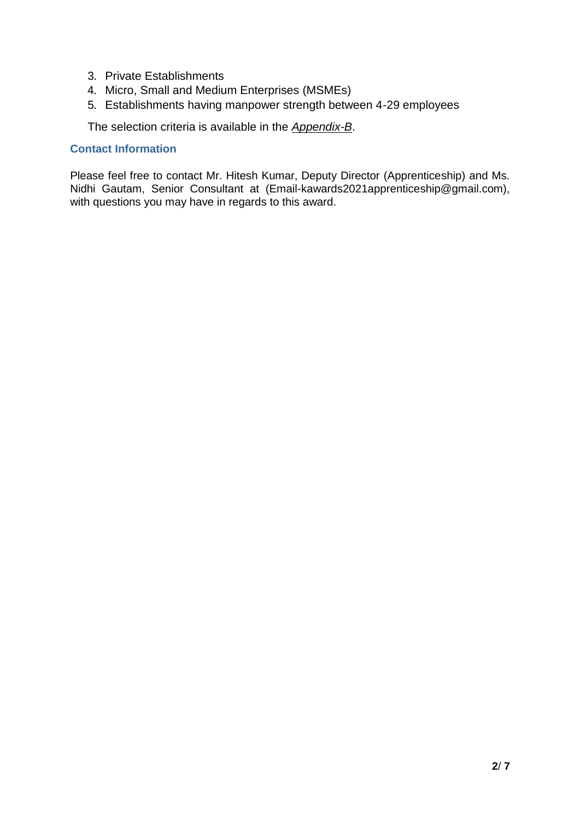- 3. Private Establishments
- 4. Micro, Small and Medium Enterprises (MSMEs)
- 5. Establishments having manpower strength between 4-29 employees

The selection criteria is available in the *Appendix-B*.

### **Contact Information**

Please feel free to contact Mr. Hitesh Kumar, Deputy Director (Apprenticeship) and Ms. Nidhi Gautam, Senior Consultant at (Email-kawards2021apprenticeship@gmail.com), with questions you may have in regards to this award.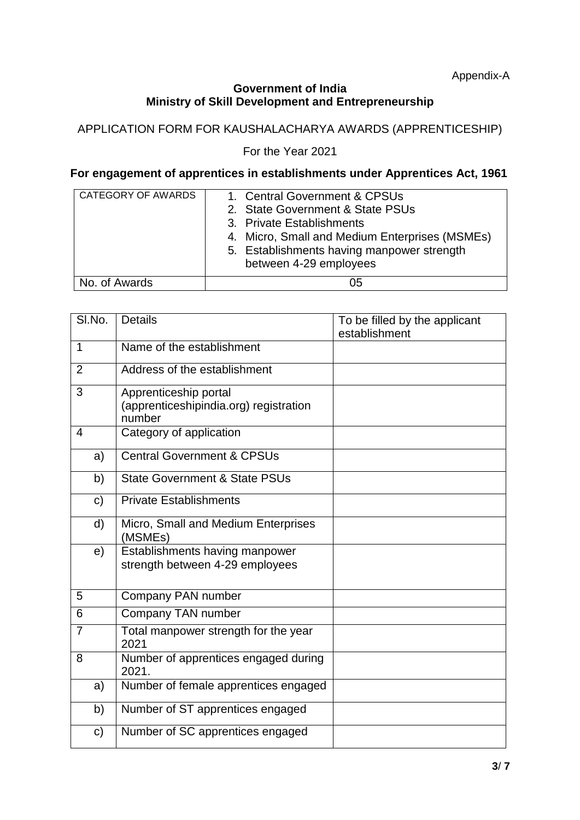## **Government of India Ministry of Skill Development and Entrepreneurship**

# APPLICATION FORM FOR KAUSHALACHARYA AWARDS (APPRENTICESHIP)

For the Year 2021

## **For engagement of apprentices in establishments under Apprentices Act, 1961**

| CATEGORY OF AWARDS | 1. Central Government & CPSUs<br>2. State Government & State PSUs<br>3. Private Establishments<br>4. Micro, Small and Medium Enterprises (MSMEs)<br>5. Establishments having manpower strength<br>between 4-29 employees |
|--------------------|--------------------------------------------------------------------------------------------------------------------------------------------------------------------------------------------------------------------------|
| No. of Awards      | 05                                                                                                                                                                                                                       |

| SI.No.         | <b>Details</b>                                                            | To be filled by the applicant<br>establishment |
|----------------|---------------------------------------------------------------------------|------------------------------------------------|
| 1              | Name of the establishment                                                 |                                                |
| $\overline{2}$ | Address of the establishment                                              |                                                |
| 3              |                                                                           |                                                |
|                | Apprenticeship portal<br>(apprenticeshipindia.org) registration<br>number |                                                |
| $\overline{4}$ | Category of application                                                   |                                                |
| a)             | <b>Central Government &amp; CPSUs</b>                                     |                                                |
| b)             | <b>State Government &amp; State PSUs</b>                                  |                                                |
| $\mathsf{c})$  | <b>Private Establishments</b>                                             |                                                |
| d)             | Micro, Small and Medium Enterprises<br>(MSMEs)                            |                                                |
| e)             | Establishments having manpower<br>strength between 4-29 employees         |                                                |
| 5              | Company PAN number                                                        |                                                |
| 6              | Company TAN number                                                        |                                                |
| $\overline{7}$ | Total manpower strength for the year<br>2021                              |                                                |
| 8              | Number of apprentices engaged during<br>2021.                             |                                                |
| a)             | Number of female apprentices engaged                                      |                                                |
| b)             | Number of ST apprentices engaged                                          |                                                |
| C)             | Number of SC apprentices engaged                                          |                                                |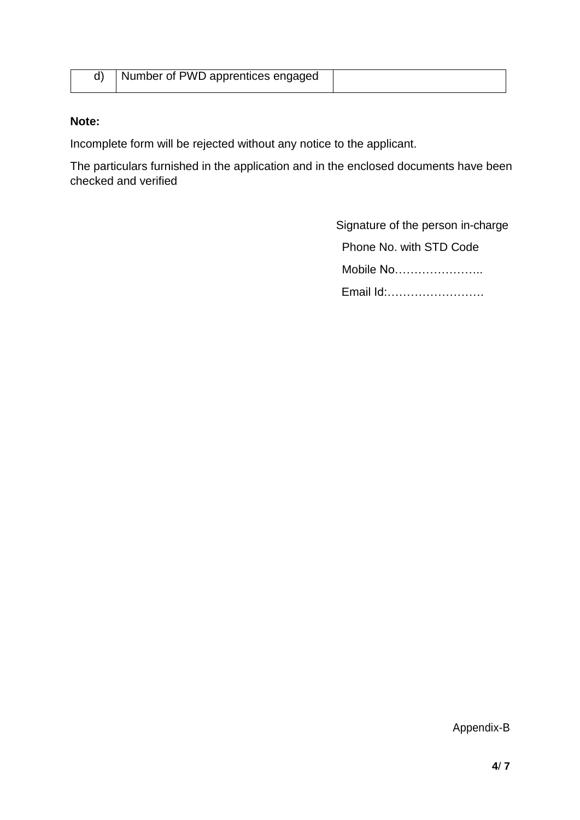| d)   Number of PWD apprentices engaged |  |
|----------------------------------------|--|
|                                        |  |

### **Note:**

Incomplete form will be rejected without any notice to the applicant.

The particulars furnished in the application and in the enclosed documents have been checked and verified

> Signature of the person in-charge Phone No. with STD Code

Mobile No…………………..

Email Id:…………………….

Appendix-B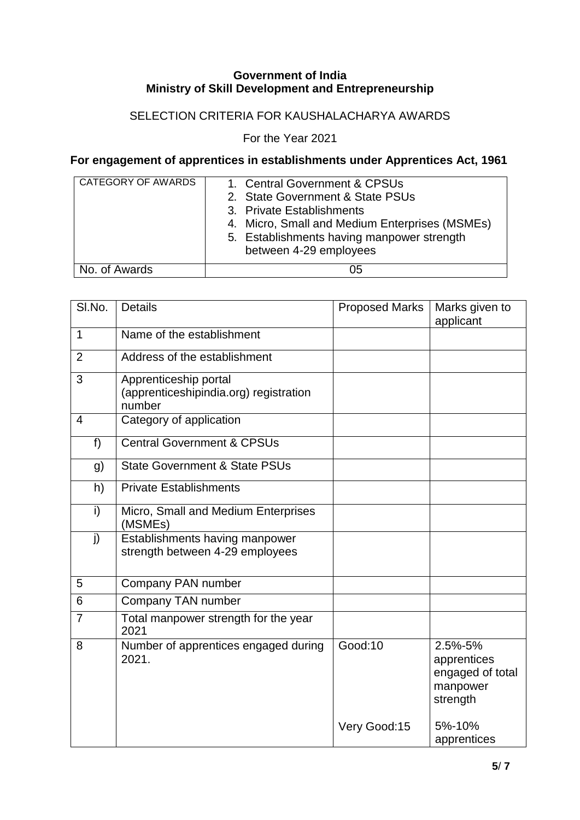## **Government of India Ministry of Skill Development and Entrepreneurship**

# SELECTION CRITERIA FOR KAUSHALACHARYA AWARDS

For the Year 2021

## **For engagement of apprentices in establishments under Apprentices Act, 1961**

| <b>CATEGORY OF AWARDS</b> | 1. Central Government & CPSUs<br>2. State Government & State PSUs<br>3. Private Establishments<br>4. Micro, Small and Medium Enterprises (MSMEs)<br>5. Establishments having manpower strength<br>between 4-29 employees |
|---------------------------|--------------------------------------------------------------------------------------------------------------------------------------------------------------------------------------------------------------------------|
| No. of Awards             | 05                                                                                                                                                                                                                       |

| SI.No.         | <b>Details</b>                                                            | <b>Proposed Marks</b> | Marks given to<br>applicant                                        |
|----------------|---------------------------------------------------------------------------|-----------------------|--------------------------------------------------------------------|
| 1              | Name of the establishment                                                 |                       |                                                                    |
| $\overline{2}$ | Address of the establishment                                              |                       |                                                                    |
| 3              | Apprenticeship portal<br>(apprenticeshipindia.org) registration<br>number |                       |                                                                    |
| $\overline{4}$ | Category of application                                                   |                       |                                                                    |
| f)             | <b>Central Government &amp; CPSUs</b>                                     |                       |                                                                    |
| g)             | <b>State Government &amp; State PSUs</b>                                  |                       |                                                                    |
| h)             | <b>Private Establishments</b>                                             |                       |                                                                    |
| i)             | Micro, Small and Medium Enterprises<br>(MSMEs)                            |                       |                                                                    |
| j)             | Establishments having manpower<br>strength between 4-29 employees         |                       |                                                                    |
| 5              | Company PAN number                                                        |                       |                                                                    |
| 6              | Company TAN number                                                        |                       |                                                                    |
| 7              | Total manpower strength for the year<br>2021                              |                       |                                                                    |
| 8              | Number of apprentices engaged during<br>2021.                             | Good:10               | 2.5%-5%<br>apprentices<br>engaged of total<br>manpower<br>strength |
|                |                                                                           | Very Good:15          | 5%-10%<br>apprentices                                              |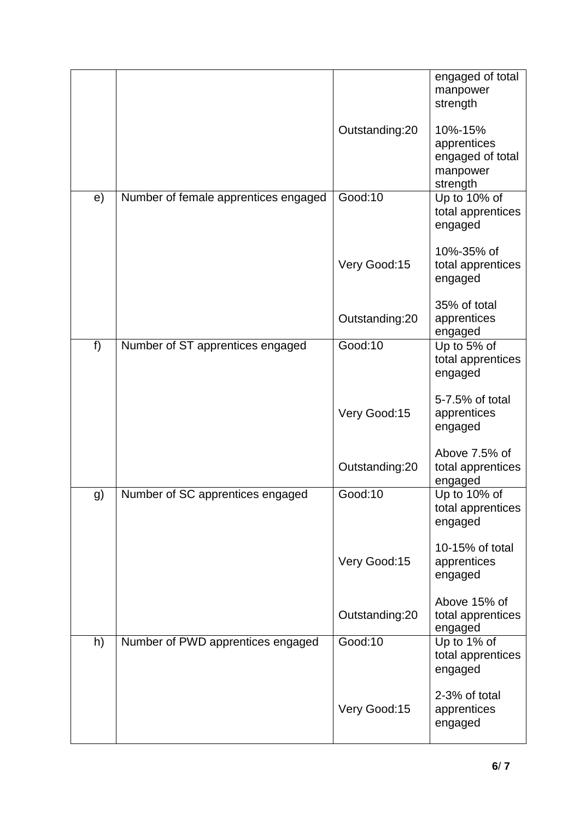|    |                                      | Outstanding:20 | engaged of total<br>manpower<br>strength<br>10%-15%<br>apprentices<br>engaged of total<br>manpower<br>strength |
|----|--------------------------------------|----------------|----------------------------------------------------------------------------------------------------------------|
| e) | Number of female apprentices engaged | Good:10        | Up to 10% of<br>total apprentices<br>engaged                                                                   |
|    |                                      | Very Good:15   | 10%-35% of<br>total apprentices<br>engaged                                                                     |
|    |                                      | Outstanding:20 | 35% of total<br>apprentices<br>engaged                                                                         |
| f) | Number of ST apprentices engaged     | <b>Good:10</b> | Up to 5% of<br>total apprentices<br>engaged                                                                    |
|    |                                      | Very Good:15   | 5-7.5% of total<br>apprentices<br>engaged                                                                      |
|    |                                      | Outstanding:20 | Above 7.5% of<br>total apprentices<br>engaged                                                                  |
| g) | Number of SC apprentices engaged     | Good:10        | Up to 10% of<br>total apprentices<br>engaged                                                                   |
|    |                                      | Very Good:15   | 10-15% of total<br>apprentices<br>engaged                                                                      |
|    |                                      | Outstanding:20 | Above 15% of<br>total apprentices<br>engaged                                                                   |
| h) | Number of PWD apprentices engaged    | <b>Good:10</b> | Up to 1% of<br>total apprentices<br>engaged                                                                    |
|    |                                      | Very Good:15   | 2-3% of total<br>apprentices<br>engaged                                                                        |